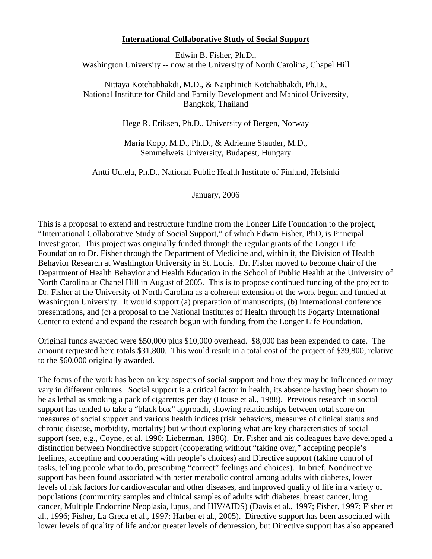## **International Collaborative Study of Social Support**

Edwin B. Fisher, Ph.D., Washington University -- now at the University of North Carolina, Chapel Hill

Nittaya Kotchabhakdi, M.D., & Naiphinich Kotchabhakdi, Ph.D., National Institute for Child and Family Development and Mahidol University, Bangkok, Thailand

Hege R. Eriksen, Ph.D., University of Bergen, Norway

Maria Kopp, M.D., Ph.D., & Adrienne Stauder, M.D., Semmelweis University, Budapest, Hungary

Antti Uutela, Ph.D., National Public Health Institute of Finland, Helsinki

January, 2006

This is a proposal to extend and restructure funding from the Longer Life Foundation to the project, "International Collaborative Study of Social Support," of which Edwin Fisher, PhD, is Principal Investigator. This project was originally funded through the regular grants of the Longer Life Foundation to Dr. Fisher through the Department of Medicine and, within it, the Division of Health Behavior Research at Washington University in St. Louis. Dr. Fisher moved to become chair of the Department of Health Behavior and Health Education in the School of Public Health at the University of North Carolina at Chapel Hill in August of 2005. This is to propose continued funding of the project to Dr. Fisher at the University of North Carolina as a coherent extension of the work begun and funded at Washington University. It would support (a) preparation of manuscripts, (b) international conference presentations, and (c) a proposal to the National Institutes of Health through its Fogarty International Center to extend and expand the research begun with funding from the Longer Life Foundation.

Original funds awarded were \$50,000 plus \$10,000 overhead. \$8,000 has been expended to date. The amount requested here totals \$31,800. This would result in a total cost of the project of \$39,800, relative to the \$60,000 originally awarded.

The focus of the work has been on key aspects of social support and how they may be influenced or may vary in different cultures. Social support is a critical factor in health, its absence having been shown to be as lethal as smoking a pack of cigarettes per day (House et al., 1988). Previous research in social support has tended to take a "black box" approach, showing relationships between total score on measures of social support and various health indices (risk behaviors, measures of clinical status and chronic disease, morbidity, mortality) but without exploring what are key characteristics of social support (see, e.g., Coyne, et al. 1990; Lieberman, 1986). Dr. Fisher and his colleagues have developed a distinction between Nondirective support (cooperating without "taking over," accepting people's feelings, accepting and cooperating with people's choices) and Directive support (taking control of tasks, telling people what to do, prescribing "correct" feelings and choices). In brief, Nondirective support has been found associated with better metabolic control among adults with diabetes, lower levels of risk factors for cardiovascular and other diseases, and improved quality of life in a variety of populations (community samples and clinical samples of adults with diabetes, breast cancer, lung cancer, Multiple Endocrine Neoplasia, lupus, and HIV/AIDS) (Davis et al., 1997; Fisher, 1997; Fisher et al., 1996; Fisher, La Greca et al., 1997; Harber et al., 2005). Directive support has been associated with lower levels of quality of life and/or greater levels of depression, but Directive support has also appeared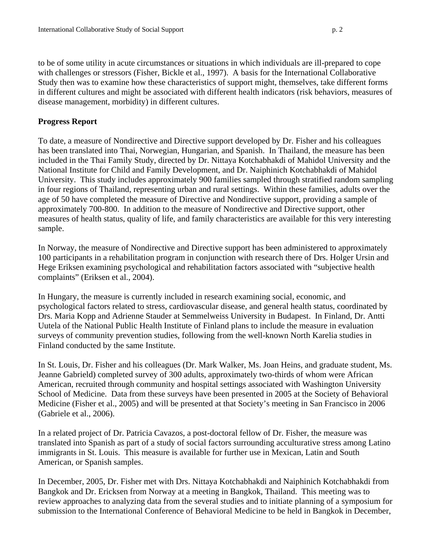disease management, morbidity) in different cultures.

## **Progress Report**

To date, a measure of Nondirective and Directive support developed by Dr. Fisher and his colleagues has been translated into Thai, Norwegian, Hungarian, and Spanish. In Thailand, the measure has been included in the Thai Family Study, directed by Dr. Nittaya Kotchabhakdi of Mahidol University and the National Institute for Child and Family Development, and Dr. Naiphinich Kotchabhakdi of Mahidol University. This study includes approximately 900 families sampled through stratified random sampling in four regions of Thailand, representing urban and rural settings. Within these families, adults over the age of 50 have completed the measure of Directive and Nondirective support, providing a sample of approximately 700-800. In addition to the measure of Nondirective and Directive support, other measures of health status, quality of life, and family characteristics are available for this very interesting sample.

In Norway, the measure of Nondirective and Directive support has been administered to approximately 100 participants in a rehabilitation program in conjunction with research there of Drs. Holger Ursin and Hege Eriksen examining psychological and rehabilitation factors associated with "subjective health complaints" (Eriksen et al., 2004).

In Hungary, the measure is currently included in research examining social, economic, and psychological factors related to stress, cardiovascular disease, and general health status, coordinated by Drs. Maria Kopp and Adrienne Stauder at Semmelweiss University in Budapest. In Finland, Dr. Antti Uutela of the National Public Health Institute of Finland plans to include the measure in evaluation surveys of community prevention studies, following from the well-known North Karelia studies in Finland conducted by the same Institute.

In St. Louis, Dr. Fisher and his colleagues (Dr. Mark Walker, Ms. Joan Heins, and graduate student, Ms. Jeanne Gabrield) completed survey of 300 adults, approximately two-thirds of whom were African American, recruited through community and hospital settings associated with Washington University School of Medicine. Data from these surveys have been presented in 2005 at the Society of Behavioral Medicine (Fisher et al., 2005) and will be presented at that Society's meeting in San Francisco in 2006 (Gabriele et al., 2006).

In a related project of Dr. Patricia Cavazos, a post-doctoral fellow of Dr. Fisher, the measure was translated into Spanish as part of a study of social factors surrounding acculturative stress among Latino immigrants in St. Louis. This measure is available for further use in Mexican, Latin and South American, or Spanish samples.

In December, 2005, Dr. Fisher met with Drs. Nittaya Kotchabhakdi and Naiphinich Kotchabhakdi from Bangkok and Dr. Ericksen from Norway at a meeting in Bangkok, Thailand. This meeting was to review approaches to analyzing data from the several studies and to initiate planning of a symposium for submission to the International Conference of Behavioral Medicine to be held in Bangkok in December,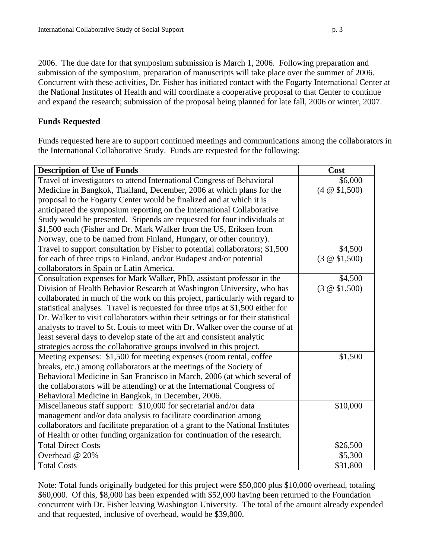2006. The due date for that symposium submission is March 1, 2006. Following preparation and submission of the symposium, preparation of manuscripts will take place over the summer of 2006. Concurrent with these activities, Dr. Fisher has initiated contact with the Fogarty International Center at the National Institutes of Health and will coordinate a cooperative proposal to that Center to continue and expand the research; submission of the proposal being planned for late fall, 2006 or winter, 2007.

## **Funds Requested**

Funds requested here are to support continued meetings and communications among the collaborators in the International Collaborative Study. Funds are requested for the following:

| <b>Description of Use of Funds</b>                                               | Cost                 |
|----------------------------------------------------------------------------------|----------------------|
| Travel of investigators to attend International Congress of Behavioral           | \$6,000              |
| Medicine in Bangkok, Thailand, December, 2006 at which plans for the             | $(4 \otimes $1,500)$ |
| proposal to the Fogarty Center would be finalized and at which it is             |                      |
| anticipated the symposium reporting on the International Collaborative           |                      |
| Study would be presented. Stipends are requested for four individuals at         |                      |
| \$1,500 each (Fisher and Dr. Mark Walker from the US, Eriksen from               |                      |
| Norway, one to be named from Finland, Hungary, or other country).                |                      |
| Travel to support consultation by Fisher to potential collaborators; \$1,500     | \$4,500              |
| for each of three trips to Finland, and/or Budapest and/or potential             | $(3 \otimes $1,500)$ |
| collaborators in Spain or Latin America.                                         |                      |
| Consultation expenses for Mark Walker, PhD, assistant professor in the           | \$4,500              |
| Division of Health Behavior Research at Washington University, who has           | $(3 \otimes $1,500)$ |
| collaborated in much of the work on this project, particularly with regard to    |                      |
| statistical analyses. Travel is requested for three trips at \$1,500 either for  |                      |
| Dr. Walker to visit collaborators within their settings or for their statistical |                      |
| analysts to travel to St. Louis to meet with Dr. Walker over the course of at    |                      |
| least several days to develop state of the art and consistent analytic           |                      |
| strategies across the collaborative groups involved in this project.             |                      |
| Meeting expenses: \$1,500 for meeting expenses (room rental, coffee              | \$1,500              |
| breaks, etc.) among collaborators at the meetings of the Society of              |                      |
| Behavioral Medicine in San Francisco in March, 2006 (at which several of         |                      |
| the collaborators will be attending) or at the International Congress of         |                      |
| Behavioral Medicine in Bangkok, in December, 2006.                               |                      |
| Miscellaneous staff support: \$10,000 for secretarial and/or data                | \$10,000             |
| management and/or data analysis to facilitate coordination among                 |                      |
| collaborators and facilitate preparation of a grant to the National Institutes   |                      |
| of Health or other funding organization for continuation of the research.        |                      |
| <b>Total Direct Costs</b>                                                        | \$26,500             |
| Overhead @ 20%                                                                   | \$5,300              |
| <b>Total Costs</b>                                                               | \$31,800             |

Note: Total funds originally budgeted for this project were \$50,000 plus \$10,000 overhead, totaling \$60,000. Of this, \$8,000 has been expended with \$52,000 having been returned to the Foundation concurrent with Dr. Fisher leaving Washington University. The total of the amount already expended and that requested, inclusive of overhead, would be \$39,800.